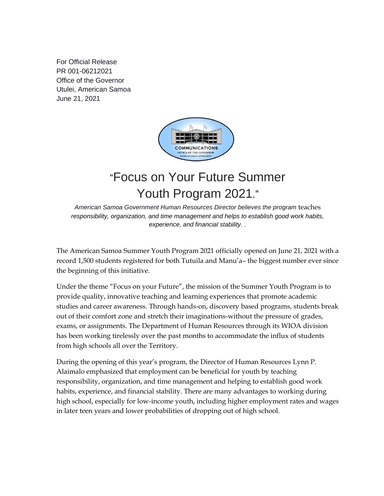For Official Release PR 001-06212021 Office of the Governor Utulei, American Samoa June 21, 2021



## "Focus on Your Future Summer Youth Program 2021."

*American Samoa Government Human Resources Director believes the program* teaches *responsibility, organization, and time management and helps to establish good work habits, experience, and financial stability. .*

The American Samoa Summer Youth Program 2021 officially opened on June 21, 2021 with a record 1,500 students registered for both Tutuila and Manu'a– the biggest number ever since the beginning of this initiative.

Under the theme "Focus on your Future", the mission of the Summer Youth Program is to provide quality, innovative teaching and learning experiences that promote academic studies and career awareness. Through hands-on, discovery based programs, students break out of their comfort zone and stretch their imaginations-without the pressure of grades, exams, or assignments. The Department of Human Resources through its WIOA division has been working tirelessly over the past months to accommodate the influx of students from high schools all over the Territory.

During the opening of this year's program, the Director of Human Resources Lynn P. Alaimalo emphasized that employment can be beneficial for youth by teaching responsibility, organization, and time management and helping to establish good work habits, experience, and financial stability. There are many advantages to working during high school, especially for low-income youth, including higher employment rates and wages in later teen years and lower probabilities of dropping out of high school.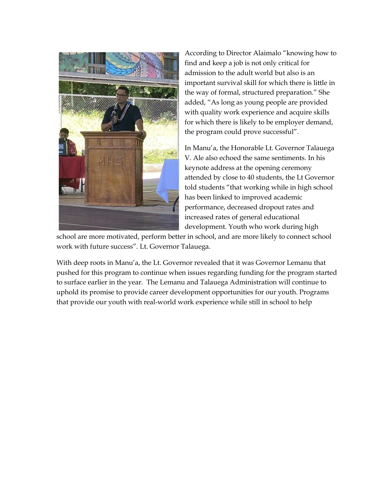

According to Director Alaimalo "knowing how to find and keep a job is not only critical for admission to the adult world but also is an important survival skill for which there is little in the way of formal, structured preparation." She added, "As long as young people are provided with quality work experience and acquire skills for which there is likely to be employer demand, the program could prove successful".

In Manu'a, the Honorable Lt. Governor Talauega V. Ale also echoed the same sentiments. In his keynote address at the opening ceremony attended by close to 40 students, the Lt Governor told students "that working while in high school has been linked to improved academic performance, decreased dropout rates and increased rates of general educational development. Youth who work during high

school are more motivated, perform better in school, and are more likely to connect school work with future success". Lt. Governor Talauega.

With deep roots in Manu'a, the Lt. Governor revealed that it was Governor Lemanu that pushed for this program to continue when issues regarding funding for the program started to surface earlier in the year. The Lemanu and Talauega Administration will continue to uphold its promise to provide career development opportunities for our youth. Programs that provide our youth with real-world work experience while still in school to help